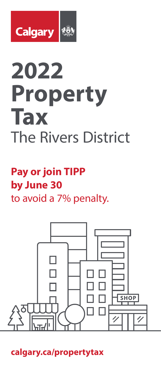

# **2022 Property Tax**  The Rivers District

# **Pay or join TIPP by June 30** to avoid a 7% penalty.



**calgary.ca/propertytax**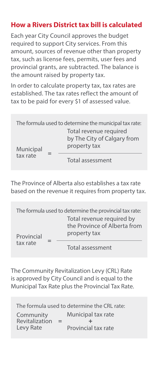#### **How a Rivers District tax bill is calculated**

Each year City Council approves the budget required to support City services. From this amount, sources of revenue other than property tax, such as license fees, permits, user fees and provincial grants, are subtracted. The balance is the amount raised by property tax.

In order to calculate property tax, tax rates are established. The tax rates reflect the amount of tax to be paid for every \$1 of assessed value.

| The formula used to determine the municipal tax rate: |  |                                                                       |  |  |
|-------------------------------------------------------|--|-----------------------------------------------------------------------|--|--|
| Municipal<br>tax rate                                 |  | Total revenue required<br>by The City of Calgary from<br>property tax |  |  |
|                                                       |  | Total assessment                                                      |  |  |

The Province of Alberta also establishes a tax rate based on the revenue it requires from property tax.

| The formula used to determine the provincial tax rate: |  |                                                                           |  |  |
|--------------------------------------------------------|--|---------------------------------------------------------------------------|--|--|
| Provincial<br>tax rate                                 |  | Total revenue required by<br>the Province of Alberta from<br>property tax |  |  |
|                                                        |  | Total assessment                                                          |  |  |

The Community Revitalization Levy (CRL) Rate is approved by City Council and is equal to the Municipal Tax Rate plus the Provincial Tax Rate.

| The formula used to determine the CRL rate:     |                                                |  |  |  |
|-------------------------------------------------|------------------------------------------------|--|--|--|
| Community<br>Revitalization<br>$=$<br>Levy Rate | Municipal tax rate<br>÷<br>Provincial tax rate |  |  |  |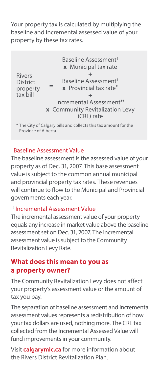Your property tax is calculated by multiplying the baseline and incremental assessed value of your property by these tax rates.

Baseline Assessment† **x** Municipal tax rate  $+$ Baseline Assessment† **x** Provincial tax rate\*  $+$ Incremental Assessment†† **x** Community Revitalization Levy (CRL) rate \* The City of Calgary bills and collects this tax amount for the Rivers **District** property tax bill **=**

Province of Alberta

#### †Baseline Assessment Value

The baseline assessment is the assessed value of your property as of Dec. 31, 2007. This base assessment value is subject to the common annual municipal and provincial property tax rates. These revenues will continue to flow to the Municipal and Provincial governments each year.

#### †† Incremental Assessment Value

The incremental assessment value of your property equals any increase in market value above the baseline assessment set on Dec. 31, 2007. The incremental assessment value is subject to the Community Revitalization Levy Rate.

#### **What does this mean to you as a property owner?**

The Community Revitalization Levy does not affect your property's assessment value or the amount of tax you pay.

The separation of baseline assessment and incremental assessment values represents a redistribution of how your tax dollars are used, nothing more. The CRL tax collected from the Incremental Assessed Value will fund improvements in your community.

Visit **calgarymlc.ca** for more information about the Rivers District Revitalization Plan.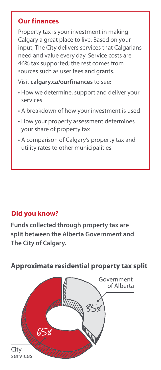#### **Our finances**

Property tax is your investment in making Calgary a great place to live. Based on your input, The City delivers services that Calgarians need and value every day. Service costs are 46% tax supported; the rest comes from sources such as user fees and grants.

Visit **calgary.ca/ourfinances** to see:

- How we determine, support and deliver your services
- A breakdown of how your investment is used
- How your property assessment determines your share of property tax
- A comparison of Calgary's property tax and utility rates to other municipalities

# **Did you know?**

**Funds collected through property tax are split between the Alberta Government and The City of Calgary.**



**Approximate residential property tax split**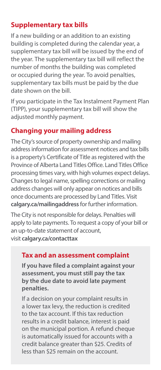# **Supplementary tax bills**

If a new building or an addition to an existing building is completed during the calendar year, a supplementary tax bill will be issued by the end of the year. The supplementary tax bill will reflect the number of months the building was completed or occupied during the year. To avoid penalties, supplementary tax bills must be paid by the due date shown on the bill.

If you participate in the Tax Instalment Payment Plan (TIPP), your supplementary tax bill will show the adjusted monthly payment.

#### **Changing your mailing address**

The City's source of property ownership and mailing address information for assessment notices and tax bills is a property's Certificate of Title as registered with the Province of Alberta Land Titles Office. Land Titles Office processing times vary, with high volumes expect delays. Changes to legal name, spelling corrections or mailing address changes will only appear on notices and bills once documents are processed by Land Titles. Visit **calgary.ca/mailingaddress** for further information.

The City is not responsible for delays. Penalties will apply to late payments. To request a copy of your bill or an up-to-date statement of account, visit **calgary.ca/contacttax**

#### **Tax and an assessment complaint**

**If you have filed a complaint against your assessment, you must still pay the tax by the due date to avoid late payment penalties.**

If a decision on your complaint results in a lower tax levy, the reduction is credited to the tax account. If this tax reduction results in a credit balance, interest is paid on the municipal portion. A refund cheque is automatically issued for accounts with a credit balance greater than \$25. Credits of less than \$25 remain on the account.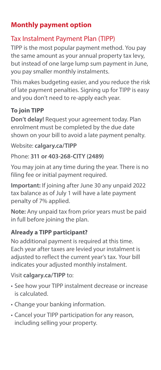# **Monthly payment option**

#### Tax Instalment Payment Plan (TIPP)

TIPP is the most popular payment method. You pay the same amount as your annual property tax levy, but instead of one large lump sum payment in June, you pay smaller monthly instalments.

This makes budgeting easier, and you reduce the risk of late payment penalties. Signing up for TIPP is easy and you don't need to re-apply each year.

#### **To join TIPP**

**Don't delay!** Request your agreement today. Plan enrolment must be completed by the due date shown on your bill to avoid a late payment penalty.

#### Website: **calgary.ca/TIPP**

#### Phone: **311 or 403-268-CITY (2489)**

You may join at any time during the year. There is no filing fee or initial payment required.

**Important:** If joining after June 30 any unpaid 2022 tax balance as of July 1 will have a late payment penalty of 7% applied.

**Note:** Any unpaid tax from prior years must be paid in full before joining the plan.

#### **Already a TIPP participant?**

No additional payment is required at this time. Each year after taxes are levied your instalment is adjusted to reflect the current year's tax. Your bill indicates your adjusted monthly instalment.

#### Visit **calgary.ca/TIPP** to:

- See how your TIPP instalment decrease or increase is calculated.
- Change your banking information.
- Cancel your TIPP participation for any reason, including selling your property.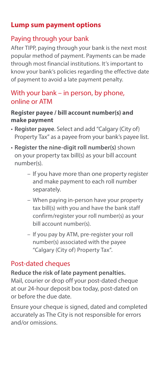#### **Lump sum payment options**

#### Paying through your bank

After TIPP, paying through your bank is the next most popular method of payment. Payments can be made through most financial institutions. It's important to know your bank's policies regarding the effective date of payment to avoid a late payment penalty.

#### With your bank – in person, by phone, online or ATM

#### **Register payee / bill account number(s) and make payment**

- **Register payee**. Select and add "Calgary (City of) Property Tax" as a payee from your bank's payee list.
- **Register the nine-digit roll number(s)** shown on your property tax bill(s) as your bill account number(s).
	- If you have more than one property register and make payment to each roll number separately.
	- When paying in-person have your property tax bill(s) with you and have the bank staff confirm/register your roll number(s) as your bill account number(s).
	- If you pay by ATM, pre-register your roll number(s) associated with the payee "Calgary (City of) Property Tax".

#### Post-dated cheques

#### **Reduce the risk of late payment penalties.**

Mail, courier or drop off your post-dated cheque at our 24-hour deposit box today, post-dated on or before the due date.

Ensure your cheque is signed, dated and completed accurately as The City is not responsible for errors and/or omissions.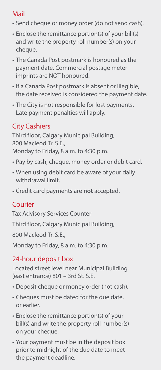# Mail

- Send cheque or money order (do not send cash).
- Enclose the remittance portion(s) of your bill(s) and write the property roll number(s) on your cheque.
- The Canada Post postmark is honoured as the payment date. Commercial postage meter imprints are NOT honoured.
- If a Canada Post postmark is absent or illegible, the date received is considered the payment date.
- The City is not responsible for lost payments. Late payment penalties will apply.

# City Cashiers

Third floor, Calgary Municipal Building, 800 Macleod Tr. S.E., Monday to Friday, 8 a.m. to 4:30 p.m.

- Pay by cash, cheque, money order or debit card.
- When using debit card be aware of your daily withdrawal limit.
- Credit card payments are **not** accepted.

# Courier

Tax Advisory Services Counter

Third floor, Calgary Municipal Building,

800 Macleod Tr. S.E.,

Monday to Friday, 8 a.m. to 4:30 p.m.

# 24-hour deposit box

Located street level near Municipal Building (east entrance) 801 – 3rd St. S.E.

- Deposit cheque or money order (not cash).
- Cheques must be dated for the due date, or earlier.
- Enclose the remittance portion(s) of your bill(s) and write the property roll number(s) on your cheque.
- Your payment must be in the deposit box prior to midnight of the due date to meet the payment deadline.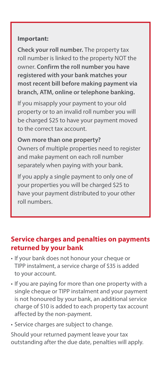#### **Important:**

**Check your roll number.** The property tax roll number is linked to the property NOT the owner. **Confirm the roll number you have registered with your bank matches your most recent bill before making payment via branch, ATM, online or telephone banking.** 

If you misapply your payment to your old property or to an invalid roll number you will be charged \$25 to have your payment moved to the correct tax account.

**Own more than one property?**  Owners of multiple properties need to register and make payment on each roll number separately when paying with your bank.

If you apply a single payment to only one of your properties you will be charged \$25 to have your payment distributed to your other roll numbers.

#### **Service charges and penalties on payments returned by your bank**

- If your bank does not honour your cheque or TIPP instalment, a service charge of \$35 is added to your account.
- If you are paying for more than one property with a single cheque or TIPP instalment and your payment is not honoured by your bank, an additional service charge of \$10 is added to each property tax account affected by the non-payment.
- Service charges are subject to change.

Should your returned payment leave your tax outstanding after the due date, penalties will apply.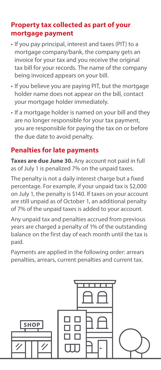#### **Property tax collected as part of your mortgage payment**

- If you pay principal, interest and taxes (PIT) to a mortgage company/bank, the company gets an invoice for your tax and you receive the original tax bill for your records. The name of the company being invoiced appears on your bill.
- If you believe you are paying PIT, but the mortgage holder name does not appear on the bill, contact your mortgage holder immediately.
- If a mortgage holder is named on your bill and they are no longer responsible for your tax payment, you are responsible for paying the tax on or before the due date to avoid penalty.

#### **Penalties for late payments**

**Taxes are due June 30.** Any account not paid in full as of July 1 is penalized 7% on the unpaid taxes.

The penalty is not a daily interest charge but a fixed percentage. For example, if your unpaid tax is \$2,000 on July 1, the penalty is \$140. If taxes on your account are still unpaid as of October 1, an additional penalty of 7% of the unpaid taxes is added to your account.

Any unpaid tax and penalties accrued from previous years are charged a penalty of 1% of the outstanding balance on the first day of each month until the tax is paid.

Payments are applied in the following order: arrears penalties, arrears, current penalties and current tax.

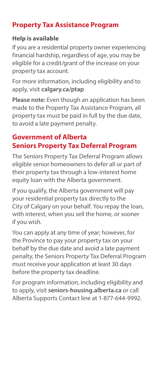# **Property Tax Assistance Program**

#### **Help is available**

If you are a residential property owner experiencing financial hardship, regardless of age, you may be eligible for a credit/grant of the increase on your property tax account.

For more information, including eligibility and to apply, visit **calgary.ca/ptap**

**Please note:** Even though an application has been made to the Property Tax Assistance Program, all property tax must be paid in full by the due date, to avoid a late payment penalty.

#### **Government of Alberta Seniors Property Tax Deferral Program**

The Seniors Property Tax Deferral Program allows eligible senior homeowners to defer all or part of their property tax through a low-interest home equity loan with the Alberta government.

If you qualify, the Alberta government will pay your residential property tax directly to the City of Calgary on your behalf. You repay the loan, with interest, when you sell the home, or sooner if you wish.

You can apply at any time of year; however, for the Province to pay your property tax on your behalf by the due date and avoid a late payment penalty, the Seniors Property Tax Deferral Program must receive your application at least 30 days before the property tax deadline.

For program information, including eligibility and to apply, visit **seniors-housing.alberta.ca** or call Alberta Supports Contact line at 1-877-644-9992.